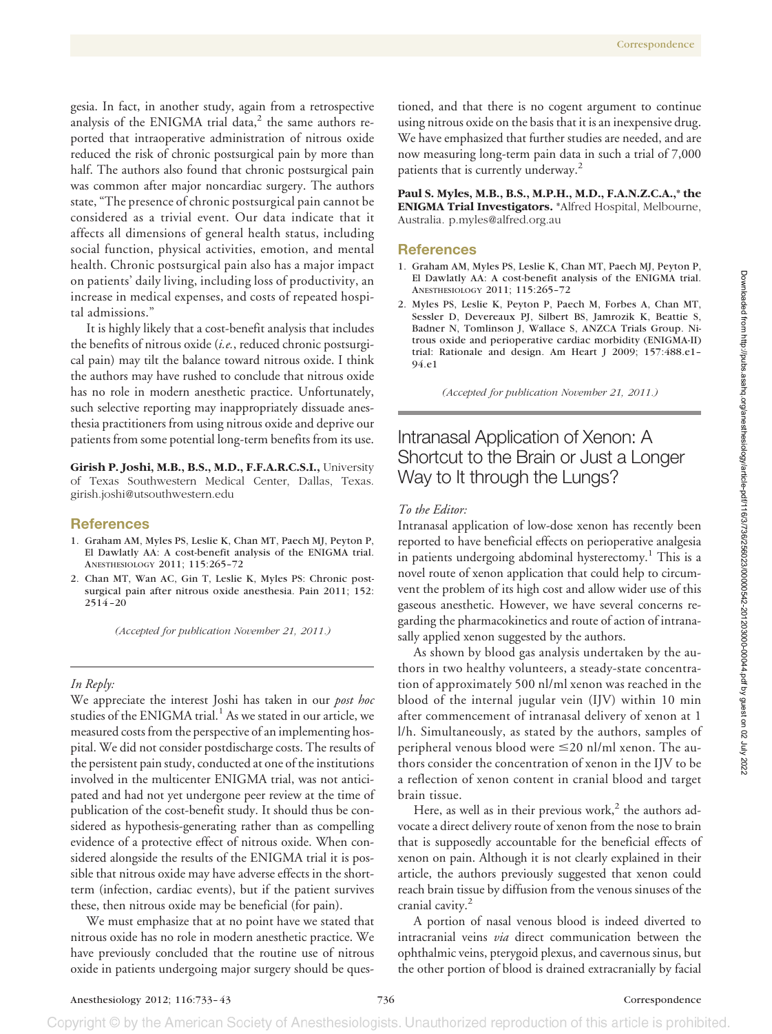gesia. In fact, in another study, again from a retrospective analysis of the ENIGMA trial data, $^2$  the same authors reported that intraoperative administration of nitrous oxide reduced the risk of chronic postsurgical pain by more than half. The authors also found that chronic postsurgical pain was common after major noncardiac surgery. The authors state, "The presence of chronic postsurgical pain cannot be considered as a trivial event. Our data indicate that it affects all dimensions of general health status, including social function, physical activities, emotion, and mental health. Chronic postsurgical pain also has a major impact on patients' daily living, including loss of productivity, an increase in medical expenses, and costs of repeated hospital admissions."

It is highly likely that a cost-benefit analysis that includes the benefits of nitrous oxide (*i.e.*, reduced chronic postsurgical pain) may tilt the balance toward nitrous oxide. I think the authors may have rushed to conclude that nitrous oxide has no role in modern anesthetic practice. Unfortunately, such selective reporting may inappropriately dissuade anesthesia practitioners from using nitrous oxide and deprive our patients from some potential long-term benefits from its use.

**Girish P. Joshi, M.B., B.S., M.D., F.F.A.R.C.S.I.,** University of Texas Southwestern Medical Center, Dallas, Texas. girish.joshi@utsouthwestern.edu

#### **References**

- 1. Graham AM, Myles PS, Leslie K, Chan MT, Paech MJ, Peyton P, El Dawlatly AA: A cost-benefit analysis of the ENIGMA trial. ANESTHESIOLOGY 2011; 115:265–72
- 2. Chan MT, Wan AC, Gin T, Leslie K, Myles PS: Chronic postsurgical pain after nitrous oxide anesthesia. Pain 2011; 152: 2514 –20

*(Accepted for publication November 21, 2011.)*

### *In Reply:*

We appreciate the interest Joshi has taken in our *post hoc* studies of the ENIGMA trial.<sup>1</sup> As we stated in our article, we measured costs from the perspective of an implementing hospital. We did not consider postdischarge costs. The results of the persistent pain study, conducted at one of the institutions involved in the multicenter ENIGMA trial, was not anticipated and had not yet undergone peer review at the time of publication of the cost-benefit study. It should thus be considered as hypothesis-generating rather than as compelling evidence of a protective effect of nitrous oxide. When considered alongside the results of the ENIGMA trial it is possible that nitrous oxide may have adverse effects in the shortterm (infection, cardiac events), but if the patient survives these, then nitrous oxide may be beneficial (for pain).

We must emphasize that at no point have we stated that nitrous oxide has no role in modern anesthetic practice. We have previously concluded that the routine use of nitrous oxide in patients undergoing major surgery should be ques-

tioned, and that there is no cogent argument to continue using nitrous oxide on the basis that it is an inexpensive drug. We have emphasized that further studies are needed, and are now measuring long-term pain data in such a trial of 7,000 patients that is currently underway.<sup>2</sup>

**Paul S. Myles, M.B., B.S., M.P.H., M.D., F.A.N.Z.C.A.,\* the ENIGMA Trial Investigators.** \*Alfred Hospital, Melbourne, Australia. p.myles@alfred.org.au

#### **References**

- 1. Graham AM, Myles PS, Leslie K, Chan MT, Paech MJ, Peyton P, El Dawlatly AA: A cost-benefit analysis of the ENIGMA trial. ANESTHESIOLOGY 2011; 115:265–72
- 2. Myles PS, Leslie K, Peyton P, Paech M, Forbes A, Chan MT, Sessler D, Devereaux PJ, Silbert BS, Jamrozik K, Beattie S, Badner N, Tomlinson J, Wallace S, ANZCA Trials Group. Nitrous oxide and perioperative cardiac morbidity (ENIGMA-II) trial: Rationale and design. Am Heart J 2009; 157:488.e1– 94.e1

*(Accepted for publication November 21, 2011.)*

# Intranasal Application of Xenon: A Shortcut to the Brain or Just a Longer Way to It through the Lungs?

### *To the Editor:*

Intranasal application of low-dose xenon has recently been reported to have beneficial effects on perioperative analgesia in patients undergoing abdominal hysterectomy.<sup>1</sup> This is a novel route of xenon application that could help to circumvent the problem of its high cost and allow wider use of this gaseous anesthetic. However, we have several concerns regarding the pharmacokinetics and route of action of intranasally applied xenon suggested by the authors.

As shown by blood gas analysis undertaken by the authors in two healthy volunteers, a steady-state concentration of approximately 500 nl/ml xenon was reached in the blood of the internal jugular vein (IJV) within 10 min after commencement of intranasal delivery of xenon at 1 l/h. Simultaneously, as stated by the authors, samples of peripheral venous blood were  $\leq$ 20 nl/ml xenon. The authors consider the concentration of xenon in the IJV to be a reflection of xenon content in cranial blood and target brain tissue.

Here, as well as in their previous work, $2$  the authors advocate a direct delivery route of xenon from the nose to brain that is supposedly accountable for the beneficial effects of xenon on pain. Although it is not clearly explained in their article, the authors previously suggested that xenon could reach brain tissue by diffusion from the venous sinuses of the cranial cavity. $2$ 

A portion of nasal venous blood is indeed diverted to intracranial veins *via* direct communication between the ophthalmic veins, pterygoid plexus, and cavernous sinus, but the other portion of blood is drained extracranially by facial

Copyright © by the American Society of Anesthesiologists. Unauthorized reproduction of this article is prohibited.